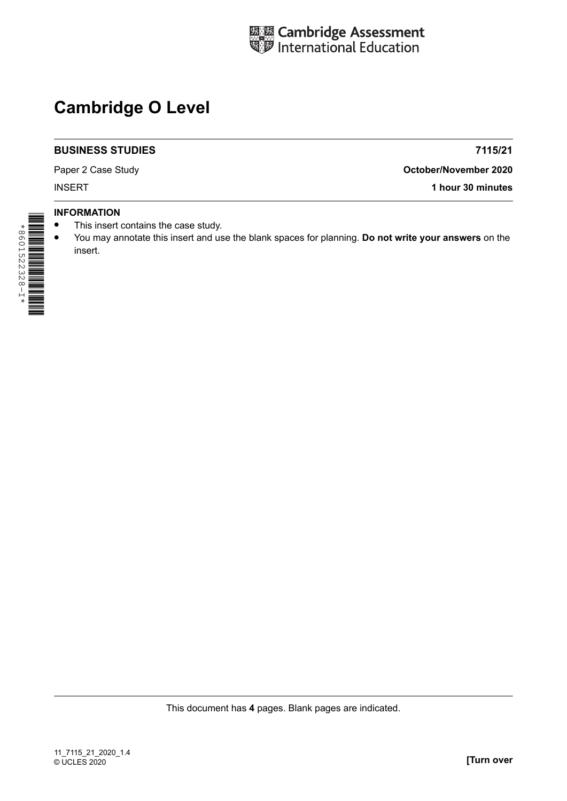

# **Cambridge O Level**

## **BUSINESS STUDIES**

Paper 2 Case Study

**7115/21**

**October/November 2020**

INSERT **1 hour 30 minutes**

## **INFORMATION**

- **•** This insert contains the case study.
- **•** You may annotate this insert and use the blank spaces for planning. **Do not write your answers** on the insert.

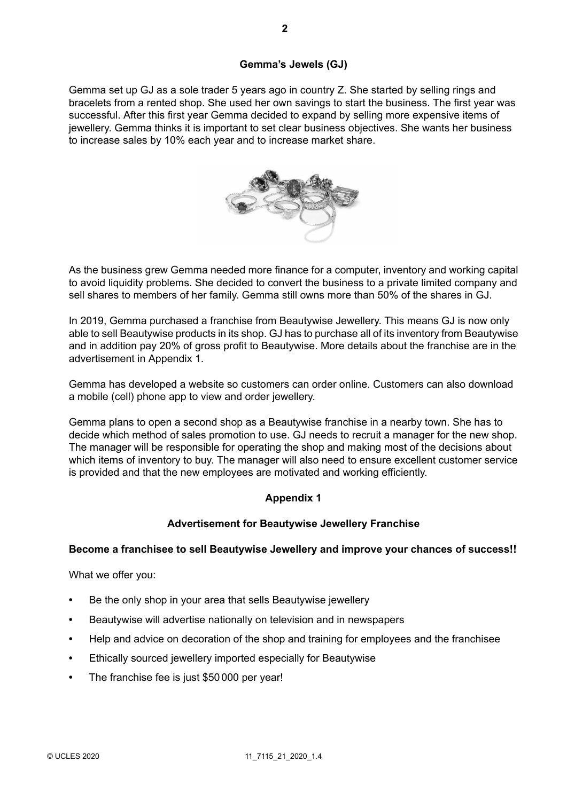# **Gemma's Jewels (GJ)**

Gemma set up GJ as a sole trader 5 years ago in country Z. She started by selling rings and bracelets from a rented shop. She used her own savings to start the business. The first year was successful. After this first year Gemma decided to expand by selling more expensive items of jewellery. Gemma thinks it is important to set clear business objectives. She wants her business to increase sales by 10% each year and to increase market share.



As the business grew Gemma needed more finance for a computer, inventory and working capital to avoid liquidity problems. She decided to convert the business to a private limited company and sell shares to members of her family. Gemma still owns more than 50% of the shares in GJ.

In 2019, Gemma purchased a franchise from Beautywise Jewellery. This means GJ is now only able to sell Beautywise products in its shop. GJ has to purchase all of its inventory from Beautywise and in addition pay 20% of gross profit to Beautywise. More details about the franchise are in the advertisement in Appendix 1.

Gemma has developed a website so customers can order online. Customers can also download a mobile (cell) phone app to view and order jewellery.

Gemma plans to open a second shop as a Beautywise franchise in a nearby town. She has to decide which method of sales promotion to use. GJ needs to recruit a manager for the new shop. The manager will be responsible for operating the shop and making most of the decisions about which items of inventory to buy. The manager will also need to ensure excellent customer service is provided and that the new employees are motivated and working efficiently.

# **Appendix 1**

# **Advertisement for Beautywise Jewellery Franchise**

# **Become a franchisee to sell Beautywise Jewellery and improve your chances of success!!**

What we offer you:

- **•** Be the only shop in your area that sells Beautywise jewellery
- **•** Beautywise will advertise nationally on television and in newspapers
- **•** Help and advice on decoration of the shop and training for employees and the franchisee
- **•** Ethically sourced jewellery imported especially for Beautywise
- **•** The franchise fee is just \$50 000 per year!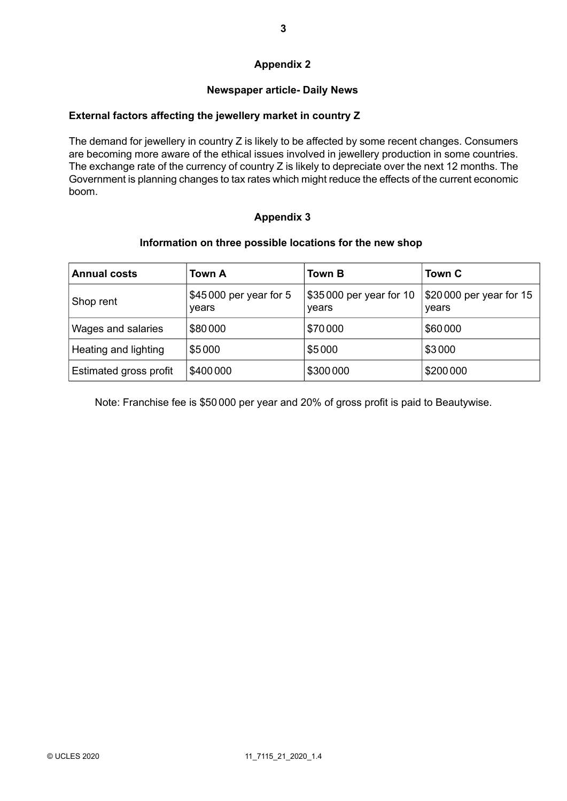# **Appendix 2**

# **Newspaper article- Daily News**

## **External factors affecting the jewellery market in country Z**

The demand for jewellery in country Z is likely to be affected by some recent changes. Consumers are becoming more aware of the ethical issues involved in jewellery production in some countries. The exchange rate of the currency of country Z is likely to depreciate over the next 12 months. The Government is planning changes to tax rates which might reduce the effects of the current economic boom.

# **Appendix 3**

#### **Information on three possible locations for the new shop**

| <b>Annual costs</b>           | <b>Town A</b>                   | <b>Town B</b>                     | Town C                           |
|-------------------------------|---------------------------------|-----------------------------------|----------------------------------|
| Shop rent                     | \$45000 per year for 5<br>years | \$35 000 per year for 10<br>years | \$20000 per year for 15<br>years |
| Wages and salaries            | \$80000                         | \$70000                           | \$60000                          |
| Heating and lighting          | \$5000                          | \$5000                            | \$3000                           |
| <b>Estimated gross profit</b> | \$400000                        | \$300000                          | \$200000                         |

Note: Franchise fee is \$50 000 per year and 20% of gross profit is paid to Beautywise.